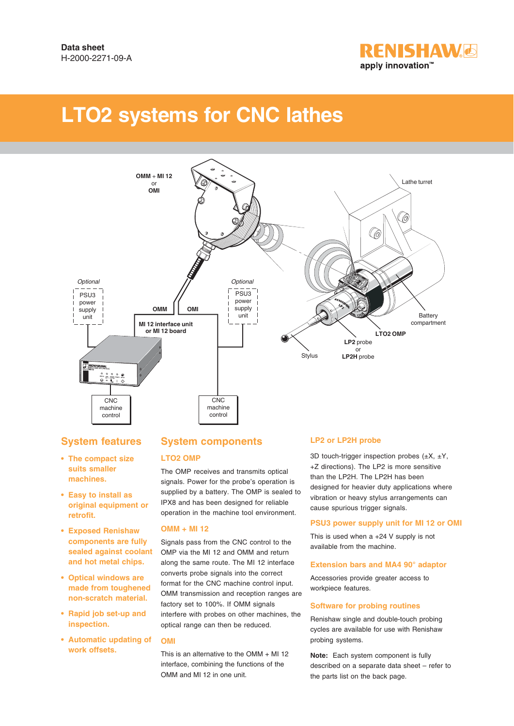

# **LTO2 systems for CNC lathes**



# **System features**

- **The compact size suits smaller machines.**
- **Easy to install as original equipment or retrofit.**
- **Exposed Renishaw components are fully sealed against coolant and hot metal chips.**
- **Optical windows are made from toughened non-scratch material.**
- **Rapid job set-up and inspection.**
- **Automatic updating of work offsets.**

# **System components**

#### **LTO2 OMP**

The OMP receives and transmits optical signals. Power for the probe's operation is supplied by a battery. The OMP is sealed to IPX8 and has been designed for reliable operation in the machine tool environment.

#### **OMM + MI 12**

Signals pass from the CNC control to the OMP via the MI 12 and OMM and return along the same route. The MI 12 interface converts probe signals into the correct format for the CNC machine control input. OMM transmission and reception ranges are factory set to 100%. If OMM signals interfere with probes on other machines, the optical range can then be reduced.

#### **OMI**

This is an alternative to the OMM + MI 12 interface, combining the functions of the OMM and MI 12 in one unit.

# **LP2 or LP2H probe**

3D touch-trigger inspection probes  $(\pm X, \pm Y,$ +Z directions). The LP2 is more sensitive than the LP2H. The LP2H has been designed for heavier duty applications where vibration or heavy stylus arrangements can cause spurious trigger signals.

#### **PSU3 power supply unit for MI 12 or OMI**

This is used when a +24 V supply is not available from the machine.

#### **Extension bars and MA4 90° adaptor**

Accessories provide greater access to workpiece features.

#### **Software for probing routines**

Renishaw single and double-touch probing cycles are available for use with Renishaw probing systems.

**Note:** Each system component is fully described on a separate data sheet – refer to the parts list on the back page.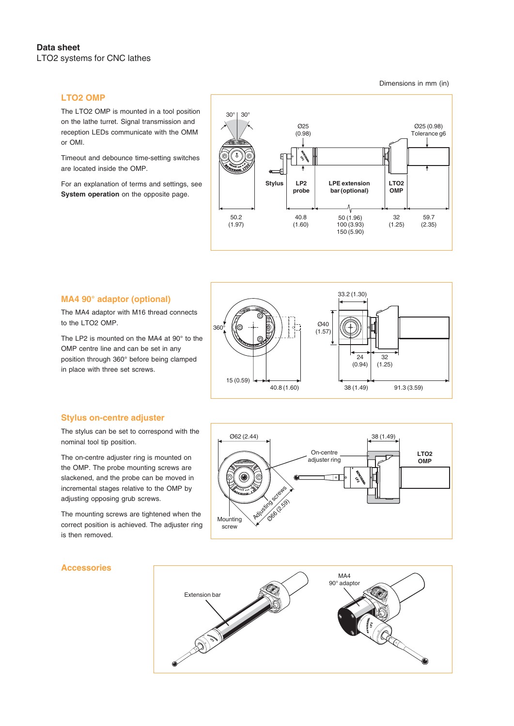# **LTO2 OMP**

The LTO2 OMP is mounted in a tool position on the lathe turret. Signal transmission and reception LEDs communicate with the OMM or OMI.

Timeout and debounce time-setting switches are located inside the OMP.

For an explanation of terms and settings, see **System operation** on the opposite page.



### **MA4 90° adaptor (optional)**

The MA4 adaptor with M16 thread connects to the LTO<sub>2</sub> OMP.

The LP2 is mounted on the MA4 at 90° to the OMP centre line and can be set in any position through 360° before being clamped in place with three set screws.



#### **Stylus on-centre adjuster**

The stylus can be set to correspond with the nominal tool tip position.

The on-centre adjuster ring is mounted on the OMP. The probe mounting screws are slackened, and the probe can be moved in incremental stages relative to the OMP by adjusting opposing grub screws.

The mounting screws are tightened when the correct position is achieved. The adjuster ring is then removed.



# **Accessories**



Dimensions in mm (in)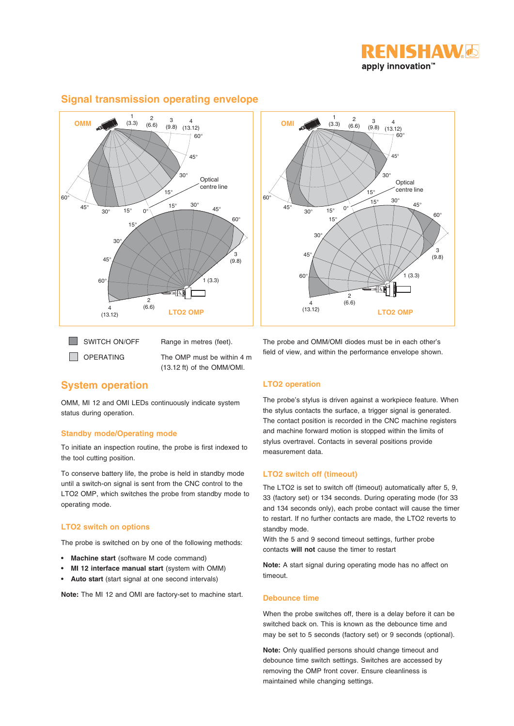



# **Signal transmission operating envelope**



SWITCH ON/OFF  $\Box$  OPERATING

Range in metres (feet).

The OMP must be within 4 m (13.12 ft) of the OMM/OMI.

**System operation**

OMM, MI 12 and OMI LEDs continuously indicate system status during operation.

#### **Standby mode/Operating mode**

To initiate an inspection routine, the probe is first indexed to the tool cutting position.

To conserve battery life, the probe is held in standby mode until a switch-on signal is sent from the CNC control to the LTO2 OMP, which switches the probe from standby mode to operating mode.

# **LTO2 switch on options**

The probe is switched on by one of the following methods:

- **Machine start** (software M code command)
- **MI 12 interface manual start** (system with OMM)
- **Auto start** (start signal at one second intervals)

**Note:** The MI 12 and OMI are factory-set to machine start.

The probe and OMM/OMI diodes must be in each other's field of view, and within the performance envelope shown.

# **LTO2 operation**

The probe's stylus is driven against a workpiece feature. When the stylus contacts the surface, a trigger signal is generated. The contact position is recorded in the CNC machine registers and machine forward motion is stopped within the limits of stylus overtravel. Contacts in several positions provide measurement data.

# **LTO2 switch off (timeout)**

The LTO2 is set to switch off (timeout) automatically after 5, 9, 33 (factory set) or 134 seconds. During operating mode (for 33 and 134 seconds only), each probe contact will cause the timer to restart. If no further contacts are made, the LTO2 reverts to standby mode.

With the 5 and 9 second timeout settings, further probe contacts **will not** cause the timer to restart

**Note:** A start signal during operating mode has no affect on timeout.

#### **Debounce time**

When the probe switches off, there is a delay before it can be switched back on. This is known as the debounce time and may be set to 5 seconds (factory set) or 9 seconds (optional).

**Note:** Only qualified persons should change timeout and debounce time switch settings. Switches are accessed by removing the OMP front cover. Ensure cleanliness is maintained while changing settings.